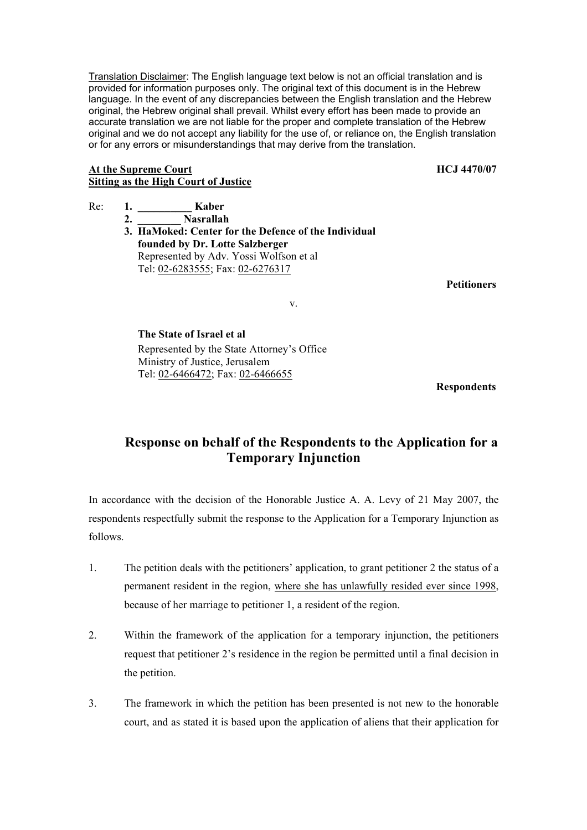Translation Disclaimer: The English language text below is not an official translation and is provided for information purposes only. The original text of this document is in the Hebrew language. In the event of any discrepancies between the English translation and the Hebrew original, the Hebrew original shall prevail. Whilst every effort has been made to provide an accurate translation we are not liable for the proper and complete translation of the Hebrew original and we do not accept any liability for the use of, or reliance on, the English translation or for any errors or misunderstandings that may derive from the translation.

## At the Supreme Court **HCJ** 4470/07 **Sitting as the High Court of Justice**

- Re: 1. **Kaber** 
	- **2. \_\_\_\_\_\_\_\_ Nasrallah 3. HaMoked: Center for the Defence of the Individual founded by Dr. Lotte Salzberger** Represented by Adv. Yossi Wolfson et al Tel: 02-6283555; Fax: 02-6276317

 **Petitioners** 

v.

 **The State of Israel et al**  Represented by the State Attorney's Office Ministry of Justice, Jerusalem Tel: 02-6466472; Fax: 02-6466655

 **Respondents** 

## **Response on behalf of the Respondents to the Application for a Temporary Injunction**

In accordance with the decision of the Honorable Justice A. A. Levy of 21 May 2007, the respondents respectfully submit the response to the Application for a Temporary Injunction as follows.

- 1. The petition deals with the petitioners' application, to grant petitioner 2 the status of a permanent resident in the region, where she has unlawfully resided ever since 1998, because of her marriage to petitioner 1, a resident of the region.
- 2. Within the framework of the application for a temporary injunction, the petitioners request that petitioner 2's residence in the region be permitted until a final decision in the petition.
- 3. The framework in which the petition has been presented is not new to the honorable court, and as stated it is based upon the application of aliens that their application for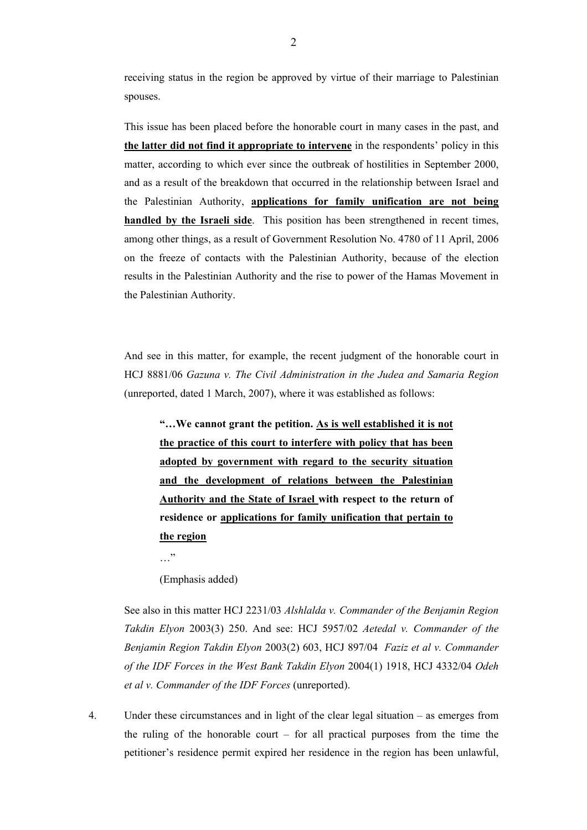receiving status in the region be approved by virtue of their marriage to Palestinian spouses.

This issue has been placed before the honorable court in many cases in the past, and **the latter did not find it appropriate to intervene** in the respondents' policy in this matter, according to which ever since the outbreak of hostilities in September 2000, and as a result of the breakdown that occurred in the relationship between Israel and the Palestinian Authority, **applications for family unification are not being handled by the Israeli side**. This position has been strengthened in recent times, among other things, as a result of Government Resolution No. 4780 of 11 April, 2006 on the freeze of contacts with the Palestinian Authority, because of the election results in the Palestinian Authority and the rise to power of the Hamas Movement in the Palestinian Authority.

And see in this matter, for example, the recent judgment of the honorable court in HCJ 8881/06 *Gazuna v. The Civil Administration in the Judea and Samaria Region* (unreported, dated 1 March, 2007), where it was established as follows:

**"…We cannot grant the petition. As is well established it is not the practice of this court to interfere with policy that has been adopted by government with regard to the security situation and the development of relations between the Palestinian Authority and the State of Israel with respect to the return of residence or applications for family unification that pertain to the region**

…"

(Emphasis added)

See also in this matter HCJ 2231/03 *Alshlalda v. Commander of the Benjamin Region Takdin Elyon* 2003(3) 250. And see: HCJ 5957/02 *Aetedal v. Commander of the Benjamin Region Takdin Elyon* 2003(2) 603, HCJ 897/04 *Faziz et al v. Commander of the IDF Forces in the West Bank Takdin Elyon* 2004(1) 1918, HCJ 4332/04 *Odeh et al v. Commander of the IDF Forces* (unreported).

4. Under these circumstances and in light of the clear legal situation – as emerges from the ruling of the honorable court – for all practical purposes from the time the petitioner's residence permit expired her residence in the region has been unlawful,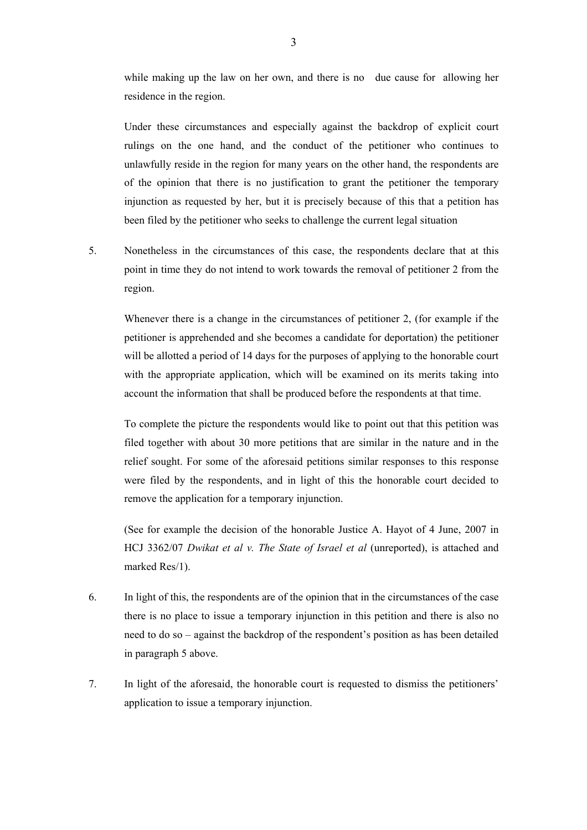while making up the law on her own, and there is no due cause for allowing her residence in the region.

Under these circumstances and especially against the backdrop of explicit court rulings on the one hand, and the conduct of the petitioner who continues to unlawfully reside in the region for many years on the other hand, the respondents are of the opinion that there is no justification to grant the petitioner the temporary injunction as requested by her, but it is precisely because of this that a petition has been filed by the petitioner who seeks to challenge the current legal situation

5. Nonetheless in the circumstances of this case, the respondents declare that at this point in time they do not intend to work towards the removal of petitioner 2 from the region.

Whenever there is a change in the circumstances of petitioner 2, (for example if the petitioner is apprehended and she becomes a candidate for deportation) the petitioner will be allotted a period of 14 days for the purposes of applying to the honorable court with the appropriate application, which will be examined on its merits taking into account the information that shall be produced before the respondents at that time.

To complete the picture the respondents would like to point out that this petition was filed together with about 30 more petitions that are similar in the nature and in the relief sought. For some of the aforesaid petitions similar responses to this response were filed by the respondents, and in light of this the honorable court decided to remove the application for a temporary injunction.

(See for example the decision of the honorable Justice A. Hayot of 4 June, 2007 in HCJ 3362/07 *Dwikat et al v. The State of Israel et al* (unreported), is attached and marked Res/1).

- 6. In light of this, the respondents are of the opinion that in the circumstances of the case there is no place to issue a temporary injunction in this petition and there is also no need to do so – against the backdrop of the respondent's position as has been detailed in paragraph 5 above.
- 7. In light of the aforesaid, the honorable court is requested to dismiss the petitioners' application to issue a temporary injunction.